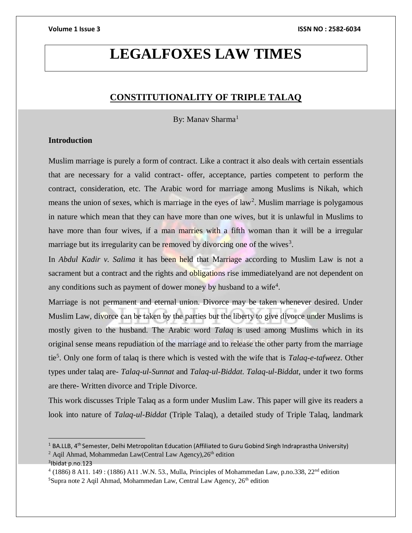# **LEGALFOXES LAW TIMES**

### **CONSTITUTIONALITY OF TRIPLE TALAQ**

By: Manay Sharma<sup>1</sup>

### **Introduction**

Muslim marriage is purely a form of contract. Like a contract it also deals with certain essentials that are necessary for a valid contract- offer, acceptance, parties competent to perform the contract, consideration, etc. The Arabic word for marriage among Muslims is Nikah, which means the union of sexes, which is marriage in the eyes of  $law<sup>2</sup>$ . Muslim marriage is polygamous in nature which mean that they can have more than one wives, but it is unlawful in Muslims to have more than four wives, if a man marries with a fifth woman than it will be a irregular marriage but its irregularity can be removed by divorcing one of the wives<sup>3</sup>.

In *Abdul Kadir v. Salima* it has been held that Marriage according to Muslim Law is not a sacrament but a contract and the rights and obligations rise immediatelyand are not dependent on any conditions such as payment of dower money by husband to a wife<sup>4</sup>.

Marriage is not permanent and eternal union. Divorce may be taken whenever desired. Under Muslim Law, divorce can be taken by the parties but the liberty to give divorce under Muslims is mostly given to the husband. The Arabic word *Talaq* is used among Muslims which in its original sense means repudiation of the marriage and to release the other party from the marriage tie<sup>5</sup> . Only one form of talaq is there which is vested with the wife that is *Talaq-e-tafweez*. Other types under talaq are- *Talaq-ul-Sunnat* and *Talaq-ul-Biddat*. *Talaq-ul-Biddat*, under it two forms are there- Written divorce and Triple Divorce.

This work discusses Triple Talaq as a form under Muslim Law. This paper will give its readers a look into nature of *Talaq-ul-Biddat* (Triple Talaq), a detailed study of Triple Talaq, landmark

 $\overline{a}$ 

 $1$  BA.LLB,  $4<sup>th</sup>$  Semester, Delhi Metropolitan Education (Affiliated to Guru Gobind Singh Indraprastha University) <sup>2</sup> Aqil Ahmad, Mohammedan Law(Central Law Agency),  $26<sup>th</sup>$  edition

<sup>3</sup> Ibidat p.no.123

 $^{4}$  (1886) 8 A11. 149 : (1886) A11 .W.N. 53., Mulla, Principles of Mohammedan Law, p.no.338, 22<sup>nd</sup> edition  $5$ Supra note 2 Aqil Ahmad, Mohammedan Law, Central Law Agency,  $26<sup>th</sup>$  edition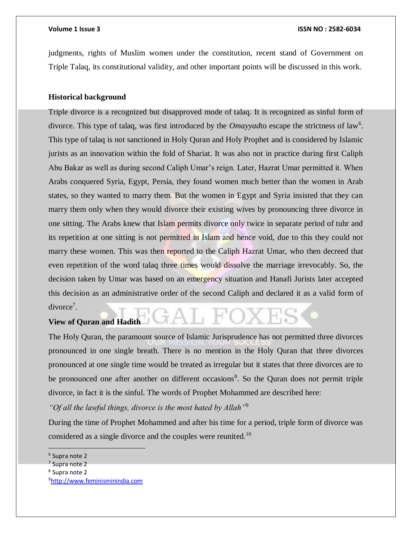judgments, rights of Muslim women under the constitution, recent stand of Government on Triple Talaq, its constitutional validity, and other important points will be discussed in this work.

#### **Historical background**

Triple divorce is a recognized but disapproved mode of talaq. It is recognized as sinful form of divorce. This type of talaq, was first introduced by the *Omayyad* to escape the strictness of law<sup>6</sup>. This type of talaq is not sanctioned in Holy Quran and Holy Prophet and is considered by Islamic jurists as an innovation within the fold of Shariat. It was also not in practice during first Caliph Abu Bakar as well as during second Caliph Umar's reign. Later, Hazrat Umar permitted it. When Arabs conquered Syria, Egypt, Persia, they found women much better than the women in Arab states, so they wanted to marry them. But the women in Egypt and Syria insisted that they can marry them only when they would divorce their existing wives by pronouncing three divorce in one sitting. The Arabs knew that Islam permits divorce only twice in separate period of tuhr and its repetition at one sitting is not permitted in Islam and hence void, due to this they could not marry these women. This was then reported to the Caliph Hazrat Umar, who then decreed that even repetition of the word talaq three times would dissolve the marriage irrevocably. So, the decision taken by Umar was based on an emergency situation and Hanafi Jurists later accepted this decision as an administrative order of the second Caliph and declared it as a valid form of divorce<sup>7</sup>.

#### **View of Quran and Hadith**

The Holy Quran, the paramount source of Islamic Jurisprudence has not permitted three divorces pronounced in one single breath. There is no mention in the Holy Quran that three divorces pronounced at one single time would be treated as irregular but it states that three divorces are to be pronounced one after another on different occasions<sup>8</sup>. So the Quran does not permit triple divorce, in fact it is the sinful. The words of Prophet Mohammed are described here:

*"Of all the lawful things, divorce is the most hated by Allah"*<sup>9</sup>

During the time of Prophet Mohammed and after his time for a period, triple form of divorce was considered as a single divorce and the couples were reunited.<sup>10</sup>

<sup>6</sup> Supra note 2

<sup>&</sup>lt;sup>7</sup> Supra note 2

<sup>8</sup> Supra note 2

<sup>9</sup>[http://www.feminisminindia.com](http://www.feminisminindia.com/)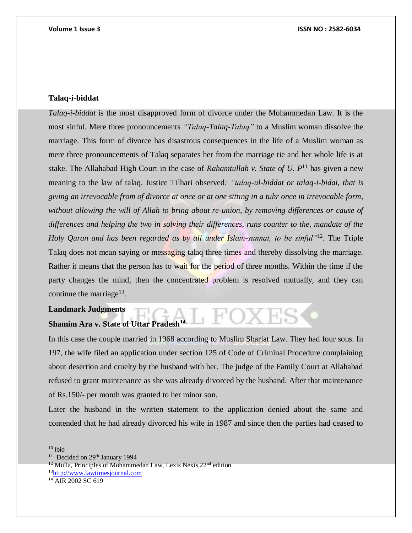#### **Talaq-i-biddat**

*Talaq-i-biddat* is the most disapproved form of divorce under the Mohammedan Law. It is the most sinful. Mere three pronouncements *"Talaq-Talaq-Talaq"* to a Muslim woman dissolve the marriage. This form of divorce has disastrous consequences in the life of a Muslim woman as mere three pronouncements of Talaq separates her from the marriage tie and her whole life is at stake. The Allahabad High Court in the case of *Rahamtullah v. State of U.*  $P<sup>11</sup>$  has given a new meaning to the law of talaq. Justice Tilhari observed*: "talaq-ul-biddat or talaq-i-bidai, that is giving an irrevocable from of divorce at once or at one sitting in a tuhr once in irrevocable form, without allowing the will of Allah to bring about re-union, by removing differences or cause of differences and helping the two in solving their differences, runs counter to the, mandate of the Holy Quran and has been regarded as by all under Islam-sunnat, to be sinful*<sup>112</sup>. The Triple Talaq does not mean saying or messaging talaq three times and thereby dissolving the marriage. Rather it means that the person has to wait for the period of three months. Within the time if the party changes the mind, then the concentrated problem is resolved mutually, and they can continue the marriage<sup>13</sup>.

**Landmark Judgments** 

## **Shamim Ara v. State of Uttar Pradesh<sup>14</sup>**

In this case the couple married in 1968 according to Muslim Shariat Law. They had four sons. In 197, the wife filed an application under section 125 of Code of Criminal Procedure complaining about desertion and cruelty by the husband with her. The judge of the Family Court at Allahabad refused to grant maintenance as she was already divorced by the husband. After that maintenance of Rs.150/- per month was granted to her minor son.

**L FOXES** 

Later the husband in the written statement to the application denied about the same and contended that he had already divorced his wife in 1987 and since then the parties had ceased to

 $10$  Ibid

 $\overline{a}$ 

<sup>&</sup>lt;sup>11</sup> Decided on 29<sup>th</sup> January 1994

 $12$  Mulla, Principles of Mohammedan Law, Lexis Nexis,  $22<sup>nd</sup>$  edition

<sup>13</sup>[http://www.lawtimesjournal.com](http://www.lawtimesjournal.com/)

<sup>&</sup>lt;sup>14</sup> AIR 2002 SC 619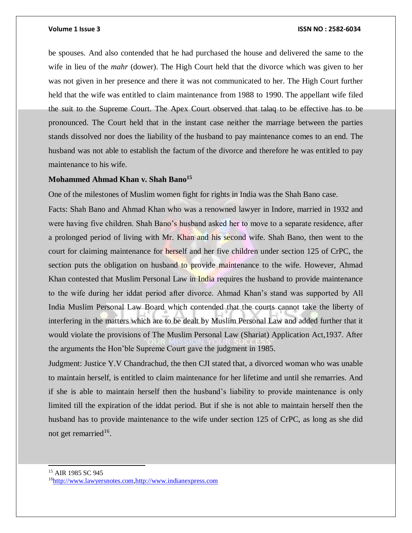be spouses. And also contended that he had purchased the house and delivered the same to the wife in lieu of the *mahr* (dower). The High Court held that the divorce which was given to her was not given in her presence and there it was not communicated to her. The High Court further held that the wife was entitled to claim maintenance from 1988 to 1990. The appellant wife filed the suit to the Supreme Court. The Apex Court observed that talaq to be effective has to be pronounced. The Court held that in the instant case neither the marriage between the parties stands dissolved nor does the liability of the husband to pay maintenance comes to an end. The husband was not able to establish the factum of the divorce and therefore he was entitled to pay maintenance to his wife.

### **Mohammed Ahmad Khan v. Shah Bano<sup>15</sup>**

One of the milestones of Muslim women fight for rights in India was the Shah Bano case.

Facts: Shah Bano and Ahmad Khan who was a renowned lawyer in Indore, married in 1932 and were having five children. Shah Bano's husband asked her to move to a separate residence, after a prolonged period of living with Mr. Khan and his second wife. Shah Bano, then went to the court for claiming maintenance for herself and her five children under section 125 of CrPC, the section puts the obligation on husband to provide maintenance to the wife. However, Ahmad Khan contested that Muslim Personal Law in India requires the husband to provide maintenance to the wife during her iddat period after divorce. Ahmad Khan's stand was supported by All India Muslim Personal Law Board which contended that the courts cannot take the liberty of interfering in the matters which are to be dealt by Muslim Personal Law and added further that it would violate the provisions of The Muslim Personal Law (Shariat) Application Act,1937. After the arguments the Hon'ble Supreme Court gave the judgment in 1985.

Judgment: Justice Y.V Chandrachud, the then CJI stated that, a divorced woman who was unable to maintain herself, is entitled to claim maintenance for her lifetime and until she remarries. And if she is able to maintain herself then the husband's liability to provide maintenance is only limited till the expiration of the iddat period. But if she is not able to maintain herself then the husband has to provide maintenance to the wife under section 125 of CrPC, as long as she did not get remarried<sup>16</sup>.

<sup>15</sup> AIR 1985 SC 945

l

<sup>16</sup>[http://www.lawyersnotes.com](http://www.lawyersnotes.com/)[,http://www.indianexpress.com](http://www.indianexpress.com/)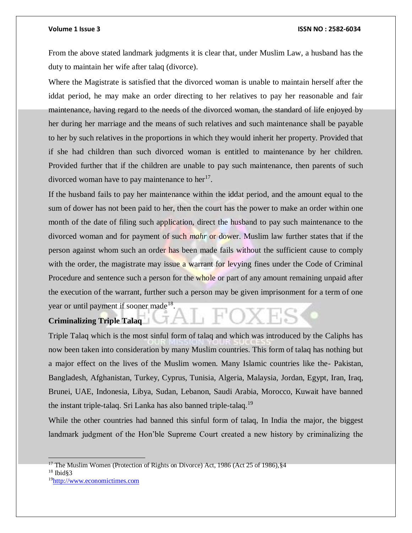From the above stated landmark judgments it is clear that, under Muslim Law, a husband has the duty to maintain her wife after talaq (divorce).

Where the Magistrate is satisfied that the divorced woman is unable to maintain herself after the iddat period, he may make an order directing to her relatives to pay her reasonable and fair maintenance, having regard to the needs of the divorced woman, the standard of life enjoyed by her during her marriage and the means of such relatives and such maintenance shall be payable to her by such relatives in the proportions in which they would inherit her property. Provided that if she had children than such divorced woman is entitled to maintenance by her children. Provided further that if the children are unable to pay such maintenance, then parents of such divorced woman have to pay maintenance to  $her<sup>17</sup>$ .

If the husband fails to pay her maintenance within the iddat period, and the amount equal to the sum of dower has not been paid to her, then the court has the power to make an order within one month of the date of filing such application, direct the husband to pay such maintenance to the divorced woman and for payment of such *mahr* or dower. Muslim law further states that if the person against whom such an order has been made fails without the sufficient cause to comply with the order, the magistrate may issue a warrant for levying fines under the Code of Criminal Procedure and sentence such a person for the whole or part of any amount remaining unpaid after the execution of the warrant, further such a person may be given imprisonment for a term of one year or until payment if sooner made<sup>18</sup>.

#### **Criminalizing Triple Talaq**

Triple Talaq which is the most sinful form of talaq and which was introduced by the Caliphs has now been taken into consideration by many Muslim countries. This form of talaq has nothing but a major effect on the lives of the Muslim women. Many Islamic countries like the- Pakistan, Bangladesh, Afghanistan, Turkey, Cyprus, Tunisia, Algeria, Malaysia, Jordan, Egypt, Iran, Iraq, Brunei, UAE, Indonesia, Libya, Sudan, Lebanon, Saudi Arabia, Morocco, Kuwait have banned the instant triple-talaq. Sri Lanka has also banned triple-talaq.<sup>19</sup>

While the other countries had banned this sinful form of talaq, In India the major, the biggest landmark judgment of the Hon'ble Supreme Court created a new history by criminalizing the

<sup>&</sup>lt;sup>17</sup> The Muslim Women (Protection of Rights on Divorce) Act, 1986 (Act 25 of 1986),  $§$ 4

 $18$  Ibid  $\S$ 3

<sup>19</sup>[http://www.economictimes.com](http://www.economictimes.com/)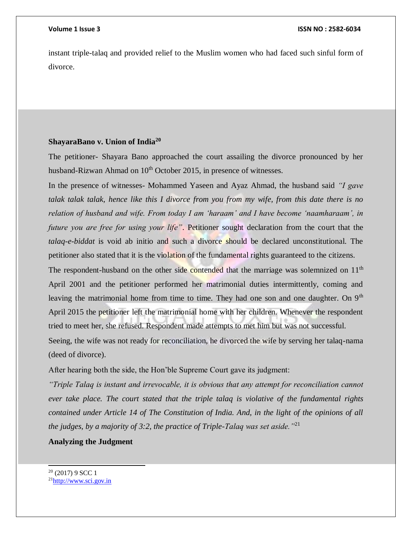instant triple-talaq and provided relief to the Muslim women who had faced such sinful form of divorce.

### **ShayaraBano v. Union of India<sup>20</sup>**

The petitioner- Shayara Bano approached the court assailing the divorce pronounced by her husband-Rizwan Ahmad on 10<sup>th</sup> October 2015, in presence of witnesses.

In the presence of witnesses- Mohammed Yaseen and Ayaz Ahmad, the husband said *"I gave talak talak talak, hence like this I divorce from you from my wife, from this date there is no relation of husband and wife. From today I am 'haraam' and I have become 'naamharaam', in future you are free for using your life"*. Petitioner sought declaration from the court that the *talaq-e-biddat* is void ab initio and such a divorce should be declared unconstitutional. The petitioner also stated that it is the violation of the fundamental rights guaranteed to the citizens.

The respondent-husband on the other side contended that the marriage was solemnized on 11<sup>th</sup> April 2001 and the petitioner performed her matrimonial duties intermittently, coming and leaving the matrimonial home from time to time. They had one son and one daughter. On  $9<sup>th</sup>$ April 2015 the petitioner left the matrimonial home with her children. Whenever the respondent tried to meet her, she refused. Respondent made attempts to met him but was not successful. Seeing, the wife was not ready for reconciliation, he divorced the wife by serving her talaq-nama (deed of divorce).

After hearing both the side, the Hon'ble Supreme Court gave its judgment:

*"Triple Talaq is instant and irrevocable, it is obvious that any attempt for reconciliation cannot ever take place. The court stated that the triple talaq is violative of the fundamental rights contained under Article 14 of The Constitution of India. And, in the light of the opinions of all the judges, by a majority of 3:2, the practice of Triple-Talaq was set aside."*<sup>21</sup>

### **Analyzing the Judgment**

l

<sup>20</sup> (2017) 9 SCC 1

<sup>21</sup>[http://www.sci.gov.in](http://www.sci.gov.in/)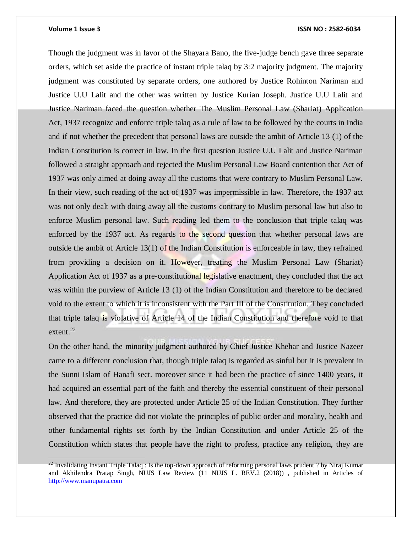#### **Volume 1 Issue 3 ISSN NO : 2582-6034**

Though the judgment was in favor of the Shayara Bano, the five-judge bench gave three separate orders, which set aside the practice of instant triple talaq by 3:2 majority judgment. The majority judgment was constituted by separate orders, one authored by Justice Rohinton Nariman and Justice U.U Lalit and the other was written by Justice Kurian Joseph. Justice U.U Lalit and Justice Nariman faced the question whether The Muslim Personal Law (Shariat) Application Act, 1937 recognize and enforce triple talaq as a rule of law to be followed by the courts in India and if not whether the precedent that personal laws are outside the ambit of Article 13 (1) of the Indian Constitution is correct in law. In the first question Justice U.U Lalit and Justice Nariman followed a straight approach and rejected the Muslim Personal Law Board contention that Act of 1937 was only aimed at doing away all the customs that were contrary to Muslim Personal Law. In their view, such reading of the act of 1937 was impermissible in law. Therefore, the 1937 act was not only dealt with doing away all the customs contrary to Muslim personal law but also to enforce Muslim personal law. Such reading led them to the conclusion that triple talaq was enforced by the 1937 act. As regards to the second question that whether personal laws are outside the ambit of Article 13(1) of the Indian Constitution is enforceable in law, they refrained from providing a decision on it. However, treating the Muslim Personal Law (Shariat) Application Act of 1937 as a pre-constitutional legislative enactment, they concluded that the act was within the purview of Article 13 (1) of the Indian Constitution and therefore to be declared void to the extent to which it is inconsistent with the Part III of the Constitution. They concluded that triple talaq is violative of Article 14 of the Indian Constitution and therefore void to that extent. $^{22}$ 

On the other hand, the minority judgment authored by Chief Justice Khehar and Justice Nazeer came to a different conclusion that, though triple talaq is regarded as sinful but it is prevalent in the Sunni Islam of Hanafi sect. moreover since it had been the practice of since 1400 years, it had acquired an essential part of the faith and thereby the essential constituent of their personal law. And therefore, they are protected under Article 25 of the Indian Constitution. They further observed that the practice did not violate the principles of public order and morality, health and other fundamental rights set forth by the Indian Constitution and under Article 25 of the Constitution which states that people have the right to profess, practice any religion, they are

<sup>&</sup>lt;sup>22</sup> Invalidating Instant Triple Talaq : Is the top-down approach of reforming personal laws prudent ? by Niraj Kumar and Akhilendra Pratap Singh, NUJS Law Review (11 NUJS L. REV.2 (2018)) , published in Articles of [http://www.manupatra.com](http://www.manupatra.com/)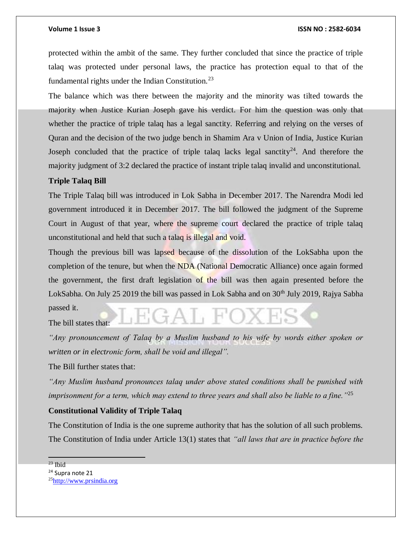protected within the ambit of the same. They further concluded that since the practice of triple talaq was protected under personal laws, the practice has protection equal to that of the fundamental rights under the Indian Constitution.<sup>23</sup>

The balance which was there between the majority and the minority was tilted towards the majority when Justice Kurian Joseph gave his verdict. For him the question was only that whether the practice of triple talaq has a legal sanctity. Referring and relying on the verses of Quran and the decision of the two judge bench in Shamim Ara v Union of India, Justice Kurian Joseph concluded that the practice of triple talaq lacks legal sanctity<sup>24</sup>. And therefore the majority judgment of 3:2 declared the practice of instant triple talaq invalid and unconstitutional.

#### **Triple Talaq Bill**

The Triple Talaq bill was introduced in Lok Sabha in December 2017. The Narendra Modi led government introduced it in December 2017. The bill followed the judgment of the Supreme Court in August of that year, where the supreme court declared the practice of triple talaq unconstitutional and held that such a talaq is illegal and void.

Though the previous bill was lapsed because of the dissolution of the LokSabha upon the completion of the tenure, but when the NDA (National Democratic Alliance) once again formed the government, the first draft legislation of the bill was then again presented before the LokSabha. On July 25 2019 the bill was passed in Lok Sabha and on 30<sup>th</sup> July 2019, Rajya Sabha passed it.

The bill states that:

*"Any pronouncement of Talaq by a Muslim husband to his wife by words either spoken or written or in electronic form, shall be void and illegal".* 

The Bill further states that:

*"Any Muslim husband pronounces talaq under above stated conditions shall be punished with imprisonment for a term, which may extend to three years and shall also be liable to a fine."*<sup>25</sup>

### **Constitutional Validity of Triple Talaq**

The Constitution of India is the one supreme authority that has the solution of all such problems. The Constitution of India under Article 13(1) states that *"all laws that are in practice before the* 

 $23$  Ibid

<sup>&</sup>lt;sup>24</sup> Supra note 21

<sup>25</sup>[http://www.prsindia.org](http://www.prsindia.org/)